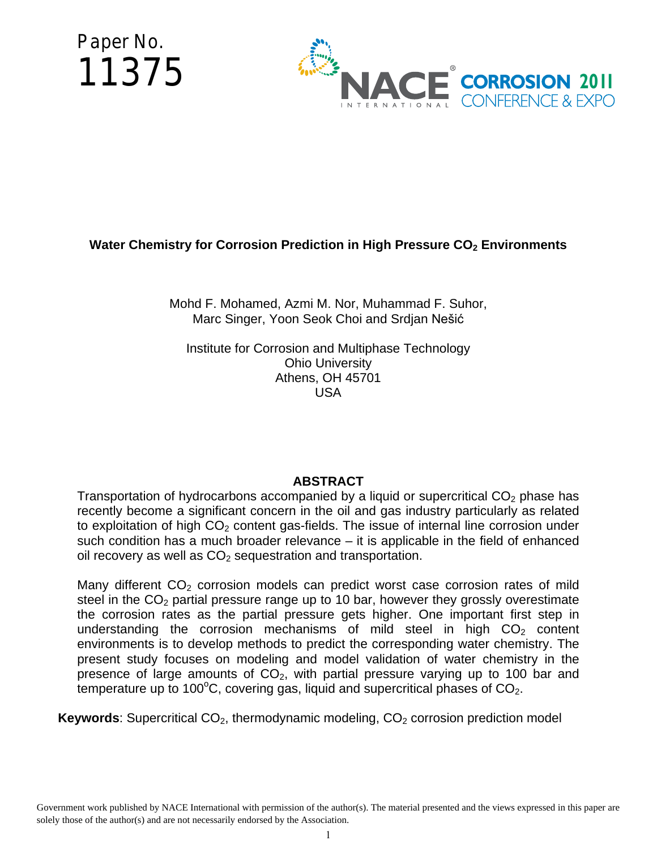Paper No. 11375



# **Water Chemistry for Corrosion Prediction in High Pressure CO<sub>2</sub> Environments**

Mohd F. Mohamed, Azmi M. Nor, Muhammad F. Suhor, Marc Singer, Yoon Seok Choi and Srdjan Nešić

Institute for Corrosion and Multiphase Technology Ohio University Athens, OH 45701 USA

## **ABSTRACT**

Transportation of hydrocarbons accompanied by a liquid or supercritical  $CO<sub>2</sub>$  phase has recently become a significant concern in the oil and gas industry particularly as related to exploitation of high  $CO<sub>2</sub>$  content gas-fields. The issue of internal line corrosion under such condition has a much broader relevance – it is applicable in the field of enhanced oil recovery as well as  $CO<sub>2</sub>$  sequestration and transportation.

Many different  $CO<sub>2</sub>$  corrosion models can predict worst case corrosion rates of mild steel in the  $CO<sub>2</sub>$  partial pressure range up to 10 bar, however they grossly overestimate the corrosion rates as the partial pressure gets higher. One important first step in understanding the corrosion mechanisms of mild steel in high  $CO<sub>2</sub>$  content environments is to develop methods to predict the corresponding water chemistry. The present study focuses on modeling and model validation of water chemistry in the presence of large amounts of  $CO<sub>2</sub>$ , with partial pressure varying up to 100 bar and temperature up to 100°C, covering gas, liquid and supercritical phases of  $CO<sub>2</sub>$ .

**Keywords**: Supercritical CO<sub>2</sub>, thermodynamic modeling, CO<sub>2</sub> corrosion prediction model

Government work published by NACE International with permission of the author(s). The material presented and the views expressed in this paper are solely those of the author(s) and are not necessarily endorsed by the Association.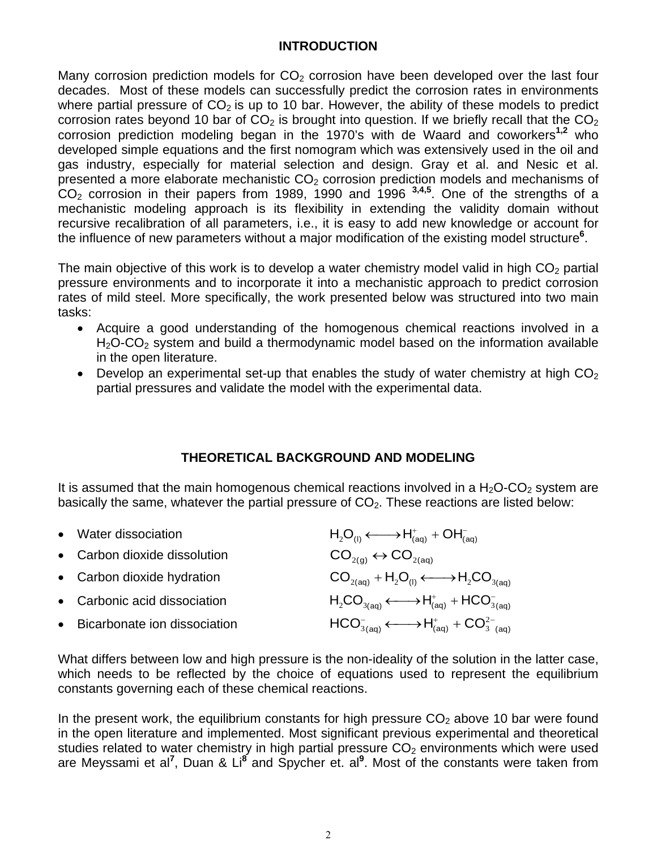## **INTRODUCTION**

Many corrosion prediction models for  $CO<sub>2</sub>$  corrosion have been developed over the last four decades. Most of these models can successfully predict the corrosion rates in environments where partial pressure of  $CO<sub>2</sub>$  is up to 10 bar. However, the ability of these models to predict corrosion rates beyond 10 bar of  $CO<sub>2</sub>$  is brought into question. If we briefly recall that the  $CO<sub>2</sub>$ corrosion prediction modeling began in the 1970's with de Waard and coworkers**1,2** who developed simple equations and the first nomogram which was extensively used in the oil and gas industry, especially for material selection and design. Gray et al. and Nesic et al. presented a more elaborate mechanistic  $CO<sub>2</sub>$  corrosion prediction models and mechanisms of  $CO<sub>2</sub>$  corrosion in their papers from 1989, 1990 and 1996  $3,4,5$ . One of the strengths of a mechanistic modeling approach is its flexibility in extending the validity domain without recursive recalibration of all parameters, i.e., it is easy to add new knowledge or account for the influence of new parameters without a major modification of the existing model structure**<sup>6</sup>** .

The main objective of this work is to develop a water chemistry model valid in high  $CO<sub>2</sub>$  partial pressure environments and to incorporate it into a mechanistic approach to predict corrosion rates of mild steel. More specifically, the work presented below was structured into two main tasks:

- Acquire a good understanding of the homogenous chemical reactions involved in a  $H<sub>2</sub>O-CO<sub>2</sub>$  system and build a thermodynamic model based on the information available in the open literature.
- Develop an experimental set-up that enables the study of water chemistry at high  $CO<sub>2</sub>$ partial pressures and validate the model with the experimental data.

## **THEORETICAL BACKGROUND AND MODELING**

It is assumed that the main homogenous chemical reactions involved in a  $H_2O\text{-}CO_2$  system are basically the same, whatever the partial pressure of  $CO<sub>2</sub>$ . These reactions are listed below:

| $H_2O_{(1)} \longleftrightarrow H^+_{(aq)} + OH^-_{(aq)}$                                                                                            |
|------------------------------------------------------------------------------------------------------------------------------------------------------|
| $\text{CO}_{2\text{(q)}} \leftrightarrow \text{CO}_{2\text{(aq)}}$                                                                                   |
| $CO_{2(aq)} + H_2O_{(1)} \longleftrightarrow H_2CO_{3(aq)}$                                                                                          |
| $H_2CO_{3(aq)} \longleftrightarrow H^+_{(aq)} + HCO_{3(aq)}^-$                                                                                       |
| $HCO^{-}_{3(aq)} \longleftrightarrow H^{+}_{(aq)} + CO^{2-}_{3(aq)}$                                                                                 |
| • Water dissociation<br>• Carbon dioxide dissolution<br>• Carbon dioxide hydration<br>• Carbonic acid dissociation<br>• Bicarbonate ion dissociation |

What differs between low and high pressure is the non-ideality of the solution in the latter case, which needs to be reflected by the choice of equations used to represent the equilibrium constants governing each of these chemical reactions.

In the present work, the equilibrium constants for high pressure  $CO<sub>2</sub>$  above 10 bar were found in the open literature and implemented. Most significant previous experimental and theoretical studies related to water chemistry in high partial pressure  $CO<sub>2</sub>$  environments which were used are Meyssami et al**<sup>7</sup>** , Duan & Li**<sup>8</sup>** and Spycher et. al**<sup>9</sup>** . Most of the constants were taken from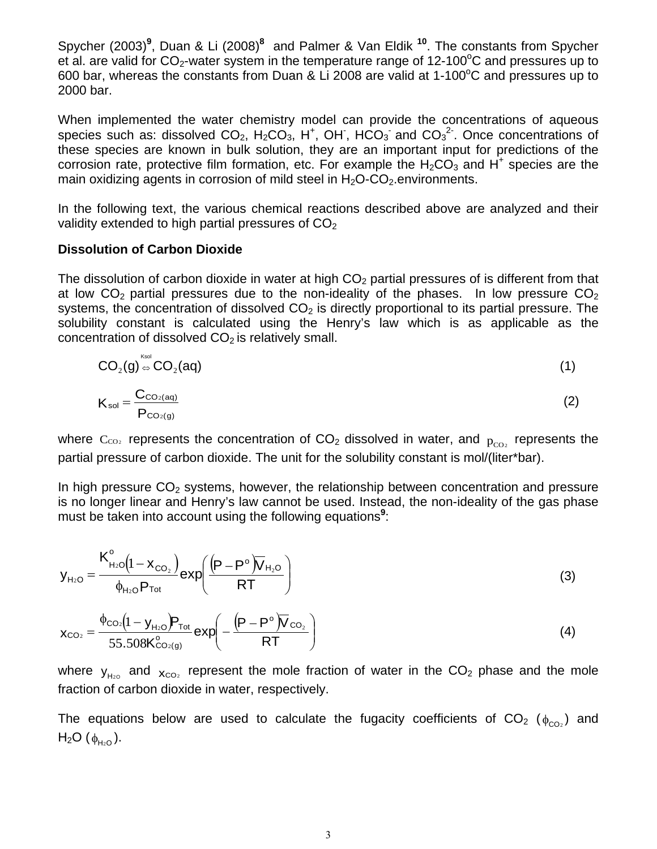Spycher (2003)<sup>9</sup>, Duan & Li (2008)<sup>8</sup> and Palmer & Van Eldik <sup>10</sup>. The constants from Spycher et al. are valid for  $CO_2$ -water system in the temperature range of 12-100°C and pressures up to 600 bar, whereas the constants from Duan & Li 2008 are valid at 1-100 $\rm ^{o}C$  and pressures up to 2000 bar.

When implemented the water chemistry model can provide the concentrations of aqueous species such as: dissolved  $CO_2$ , H<sub>2</sub>CO<sub>3</sub>, H<sup>+</sup>, OH, HCO<sub>3</sub> and  $CO_3^2$ . Once concentrations of these species are known in bulk solution, they are an important input for predictions of the corrosion rate, protective film formation, etc. For example the  $H_2CO_3$  and H<sup>+</sup> species are the main oxidizing agents in corrosion of mild steel in  $H_2O$ - $CO_2$  environments.

In the following text, the various chemical reactions described above are analyzed and their validity extended to high partial pressures of  $CO<sub>2</sub>$ 

#### **Dissolution of Carbon Dioxide**

The dissolution of carbon dioxide in water at high  $CO<sub>2</sub>$  partial pressures of is different from that at low  $CO<sub>2</sub>$  partial pressures due to the non-ideality of the phases. In low pressure  $CO<sub>2</sub>$ systems, the concentration of dissolved  $CO<sub>2</sub>$  is directly proportional to its partial pressure. The solubility constant is calculated using the Henry's law which is as applicable as the concentration of dissolved  $CO<sub>2</sub>$  is relatively small.

$$
CO2(g) \stackrel{\text{Ksol}}{\Leftrightarrow} CO2(aq)
$$
\n
$$
Ksol = \frac{C_{CO2(aq)}}{P_{CO2(g)}}
$$
\n(1)

where  $C_{CO2}$  represents the concentration of  $CO<sub>2</sub>$  dissolved in water, and  $p_{CO2}$  represents the partial pressure of carbon dioxide. The unit for the solubility constant is mol/(liter\*bar).

In high pressure  $CO<sub>2</sub>$  systems, however, the relationship between concentration and pressure is no longer linear and Henry's law cannot be used. Instead, the non-ideality of the gas phase must be taken into account using the following equations**<sup>9</sup>** :

$$
y_{H_2O} = \frac{K_{H_2O}^o(1 - x_{CO_2})}{\phi_{H_2O}P_{Tot}} exp\left(\frac{(P - P^o)\overline{V}_{H_2O}}{RT}\right)
$$
(3)

$$
\chi_{CO_2} = \frac{\phi_{CO_2}(1 - y_{H_2O})P_{Tot}}{55.508K_{CO_2(g)}} exp\left(-\frac{(P - P^{\circ})\overline{V}_{CO_2}}{RT}\right)
$$
(4)

where  $y_{H2O}$  and  $x_{CO2}$  represent the mole fraction of water in the CO<sub>2</sub> phase and the mole fraction of carbon dioxide in water, respectively.

The equations below are used to calculate the fugacity coefficients of  $CO<sub>2</sub>$  ( $_{\phi_{CO}}$ ) and  $H<sub>2</sub>O$  ( $φ<sub>H<sub>2</sub>O</sub>$ ).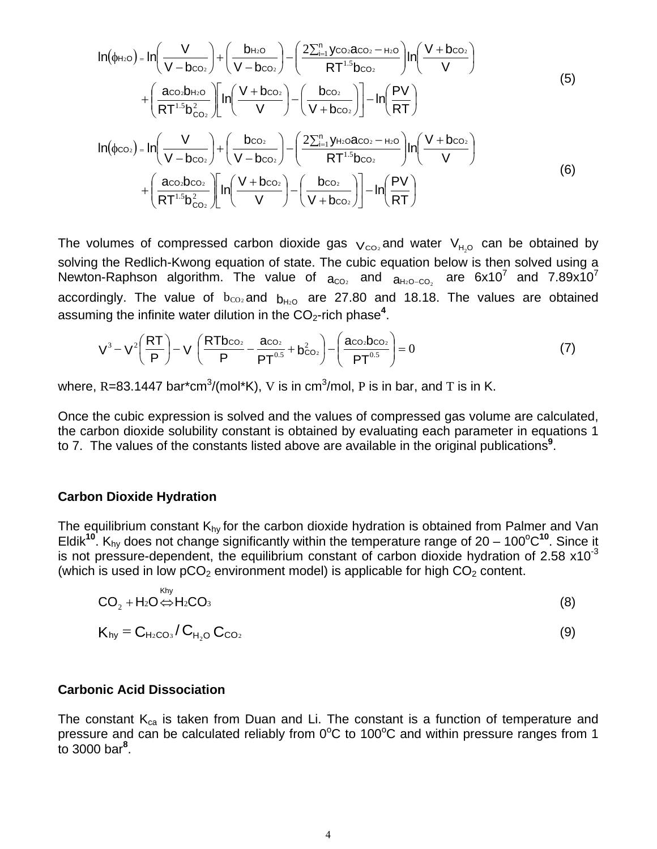$$
ln(\phi_{H_{2}O}) = ln\left(\frac{V}{V - b_{CO_{2}}}\right) + \left(\frac{b_{H_{2}O}}{V - b_{CO_{2}}}\right) - \left(\frac{2\sum_{i=1}^{n} y_{CO_{2}} a_{CO_{2}} - \mu_{2}o}{RT^{1.5} b_{CO_{2}}}\right)ln\left(\frac{V + b_{CO_{2}}}{V}\right) \\
+ \left(\frac{a_{CO_{2}} b_{H_{2}O}}{RT^{1.5} b_{CO_{2}}^{2}}\right)ln\left(\frac{V + b_{CO_{2}}}{V}\right) - \left(\frac{b_{CO_{2}}}{V + b_{CO_{2}}}\right)ln\left(\frac{PV}{RT}\right) \\
ln(\phi_{CO_{2}}) = ln\left(\frac{V}{V - b_{CO_{2}}}\right) + \left(\frac{b_{CO_{2}}}{V - b_{CO_{2}}}\right) - \left(\frac{2\sum_{i=1}^{n} y_{H_{2}O} a_{CO_{2}} - \mu_{2}o}{RT^{1.5} b_{CO_{2}}}\right)ln\left(\frac{V + b_{CO_{2}}}{V}\right) \\
+ \left(\frac{a_{CO_{2}} b_{CO_{2}}}{RT^{1.5} b_{CO_{2}}^{2}}\right)ln\left(\frac{V + b_{CO_{2}}}{V}\right) - \left(\frac{b_{CO_{2}}}{V + b_{CO_{2}}}\right)ln\left(\frac{PV}{RT}\right) \tag{6}
$$

The volumes of compressed carbon dioxide gas  $V_{CO_2}$  and water  $V_{H_2O}$  can be obtained by solving the Redlich-Kwong equation of state. The cubic equation below is then solved using a Newton-Raphson algorithm. The value of  $a_{CO2}$  and  $a_{H2O-CO2}$  are 6x10<sup>7</sup> and 7.89x10<sup>7</sup> accordingly. The value of  $b_{CO2}$  and  $b_{H2O}$  are 27.80 and 18.18. The values are obtained assuming the infinite water dilution in the CO<sub>2</sub>-rich phase<sup>4</sup>.

$$
V^{3} - V^{2} \left(\frac{RT}{P}\right) - V \left(\frac{RTb_{CO_{2}}}{P} - \frac{a_{CO_{2}}}{PT^{0.5}} + b_{CO_{2}}^{2}\right) - \left(\frac{a_{CO_{2}}b_{CO_{2}}}{PT^{0.5}}\right) = 0
$$
 (7)

where, R=83.1447 bar\*cm $^3$ /(mol\*K), V is in cm $^3$ /mol, P is in bar, and T is in K.

Once the cubic expression is solved and the values of compressed gas volume are calculated, the carbon dioxide solubility constant is obtained by evaluating each parameter in equations 1 to 7. The values of the constants listed above are available in the original publications**<sup>9</sup>** .

#### **Carbon Dioxide Hydration**

The equilibrium constant  $K_{hy}$  for the carbon dioxide hydration is obtained from Palmer and Van Eldik<sup>10</sup>. K<sub>hy</sub> does not change significantly within the temperature range of 20 – 100°C<sup>10</sup>. Since it is not pressure-dependent, the equilibrium constant of carbon dioxide hydration of 2.58  $\times$ 10<sup>-3</sup> (which is used in low  $pCO<sub>2</sub>$  environment model) is applicable for high  $CO<sub>2</sub>$  content.

$$
CO_2 + H_2O \Leftrightarrow H_2CO_3 \tag{8}
$$

$$
K_{hy} = C_{H_2CO_3}/C_{H_2O} C_{CO_2}
$$
\n
$$
(9)
$$

#### **Carbonic Acid Dissociation**

The constant  $K_{ca}$  is taken from Duan and Li. The constant is a function of temperature and pressure and can be calculated reliably from  $0^{\circ}$ C to 100 $^{\circ}$ C and within pressure ranges from 1 to 3000 bar**<sup>8</sup>** .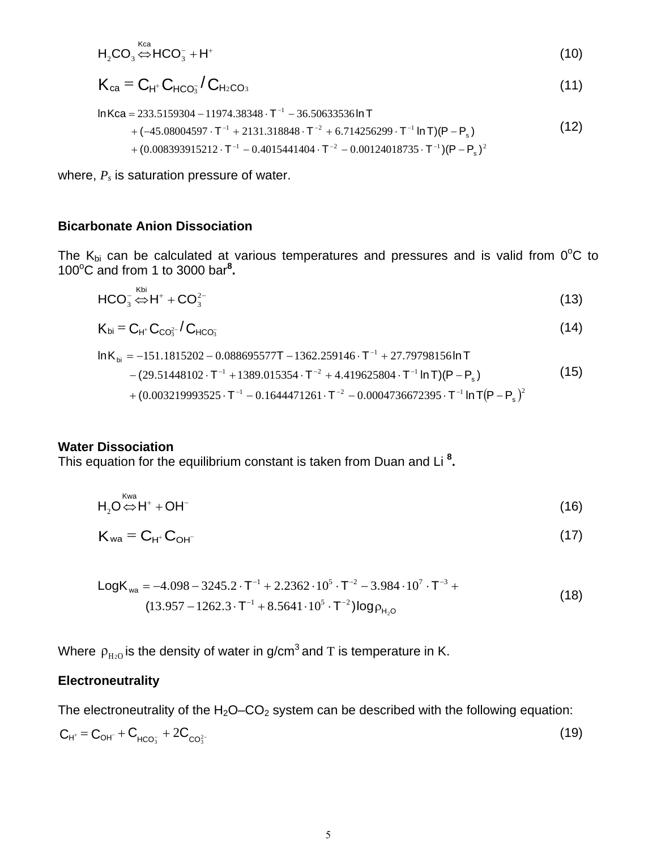$$
H_2CO_3 \stackrel{\text{Kca}}{\Leftrightarrow} HCO_3^- + H^+ \tag{10}
$$

$$
K_{ca} = C_{H^+} C_{HCO_3} / C_{H_2CO_3}
$$
\n(11)

$$
\ln Kca = 233.5159304 - 11974.38348 \cdot T^{-1} - 36.50633536 \ln T \n+ (-45.08004597 \cdot T^{-1} + 2131.318848 \cdot T^{-2} + 6.714256299 \cdot T^{-1} \ln T)(P - P_s) \n+ (0.008393915212 \cdot T^{-1} - 0.4015441404 \cdot T^{-2} - 0.00124018735 \cdot T^{-1})(P - P_s)^2
$$
\n(12)

where,  $P_s$  is saturation pressure of water.

## **Bicarbonate Anion Dissociation**

The  $K_{bi}$  can be calculated at various temperatures and pressures and is valid from  $0^{\circ}C$  to 100°C and from 1 to 3000 bar<sup>8</sup>.

$$
HCO_3^{-} \stackrel{\text{Kbi}}{\Leftrightarrow} H^+ + CO_3^{2-} \tag{13}
$$

$$
K_{bi} = C_{H^*} C_{CO_3^{2-}} / C_{HCO_3^-}
$$
 (14)

$$
\ln K_{bi} = -151.1815202 - 0.088695577T - 1362.259146 \cdot T^{-1} + 27.79798156 \ln T
$$
  
-(29.51448102 \cdot T^{-1} + 1389.015354 \cdot T^{-2} + 4.419625804 \cdot T^{-1} \ln T)(P - P\_s) (15)  
+ (0.003219993525 \cdot T^{-1} - 0.1644471261 \cdot T^{-2} - 0.0004736672395 \cdot T^{-1} \ln T (P - P\_s)^2

#### **Water Dissociation**

 $k$ waan  $k$ 

This equation for the equilibrium constant is taken from Duan and Li **<sup>8</sup> .**

$$
H_2O \stackrel{\text{Nwa}}{\Leftrightarrow} H^+ + OH^-
$$
 (16)

$$
K_{wa} = C_{H^+} C_{OH^-}
$$
 (17)

LogK<sub>wa</sub> = -4.098 - 3245.2 \t\t\t
$$
T^{-1}
$$
 + 2.2362 \t\t\t $\cdot$  10<sup>5</sup> \t\t\t $T^{-2}$  - 3.984 \t\t\t $\cdot$  10<sup>7</sup> \t\t\t $\cdot$   $T^{-3}$  +  
\n(13.957 - 1262.3 \t\t\t $T^{-1}$  + 8.5641 \t\t\t $\cdot$  10<sup>5</sup> \t\t\t $\cdot$   $T^{-2}$ ) log $\rho_{H_2O}$  (18)

Where  $\rho_{H_{2}0}$  is the density of water in g/cm<sup>3</sup> and T is temperature in K.

## **Electroneutrality**

The electroneutrality of the  $H_2O$ – $CO_2$  system can be described with the following equation:

$$
C_{H^{+}} = C_{OH^{-}} + C_{HCO_{3}^{-}} + 2C_{CO_{3}^{2-}} \tag{19}
$$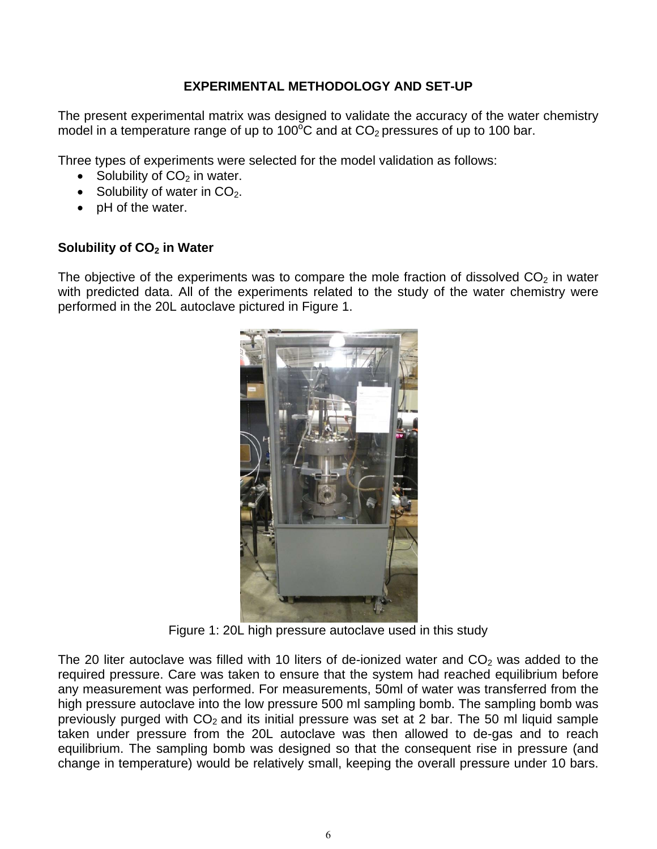## **EXPERIMENTAL METHODOLOGY AND SET-UP**

The present experimental matrix was designed to validate the accuracy of the water chemistry model in a temperature range of up to 100 $\rm^{\circ}C$  and at CO<sub>2</sub> pressures of up to 100 bar.

Three types of experiments were selected for the model validation as follows:

- Solubility of  $CO<sub>2</sub>$  in water.
- Solubility of water in  $CO<sub>2</sub>$ .
- pH of the water.

## **Solubility of CO<sub>2</sub> in Water**

The objective of the experiments was to compare the mole fraction of dissolved  $CO<sub>2</sub>$  in water with predicted data. All of the experiments related to the study of the water chemistry were performed in the 20L autoclave pictured in [Figure 1.](#page-5-0)



Figure 1: 20L high pressure autoclave used in this study

<span id="page-5-0"></span>The 20 liter autoclave was filled with 10 liters of de-ionized water and  $CO<sub>2</sub>$  was added to the required pressure. Care was taken to ensure that the system had reached equilibrium before any measurement was performed. For measurements, 50ml of water was transferred from the high pressure autoclave into the low pressure 500 ml sampling bomb. The sampling bomb was previously purged with  $CO<sub>2</sub>$  and its initial pressure was set at 2 bar. The 50 ml liquid sample taken under pressure from the 20L autoclave was then allowed to de-gas and to reach equilibrium. The sampling bomb was designed so that the consequent rise in pressure (and change in temperature) would be relatively small, keeping the overall pressure under 10 bars.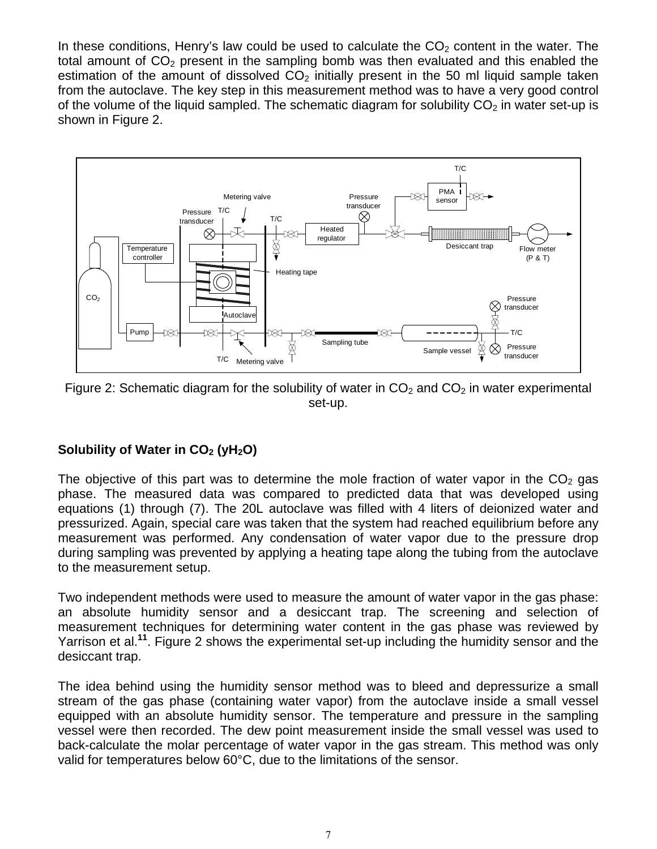In these conditions, Henry's law could be used to calculate the  $CO<sub>2</sub>$  content in the water. The total amount of  $CO<sub>2</sub>$  present in the sampling bomb was then evaluated and this enabled the estimation of the amount of dissolved  $CO<sub>2</sub>$  initially present in the 50 ml liquid sample taken from the autoclave. The key step in this measurement method was to have a very good control of the volume of the liquid sampled. The schematic diagram for solubility  $CO<sub>2</sub>$  in water set-up is shown in [Figure 2.](#page-6-0)



<span id="page-6-0"></span>Figure 2: Schematic diagram for the solubility of water in  $CO<sub>2</sub>$  and  $CO<sub>2</sub>$  in water experimental set-up.

# **Solubility of Water in CO<sub>2</sub> (yH<sub>2</sub>O)**

The objective of this part was to determine the mole fraction of water vapor in the  $CO<sub>2</sub>$  gas phase. The measured data was compared to predicted data that was developed using equations (1) through (7). The 20L autoclave was filled with 4 liters of deionized water and pressurized. Again, special care was taken that the system had reached equilibrium before any measurement was performed. Any condensation of water vapor due to the pressure drop during sampling was prevented by applying a heating tape along the tubing from the autoclave to the measurement setup.

Two independent methods were used to measure the amount of water vapor in the gas phase: an absolute humidity sensor and a desiccant trap. The screening and selection of measurement techniques for determining water content in the gas phase was reviewed by Yarrison et al.**<sup>11</sup>**. [Figure 2](#page-6-0) shows the experimental set-up including the humidity sensor and the desiccant trap.

The idea behind using the humidity sensor method was to bleed and depressurize a small stream of the gas phase (containing water vapor) from the autoclave inside a small vessel equipped with an absolute humidity sensor. The temperature and pressure in the sampling vessel were then recorded. The dew point measurement inside the small vessel was used to back-calculate the molar percentage of water vapor in the gas stream. This method was only valid for temperatures below 60°C, due to the limitations of the sensor.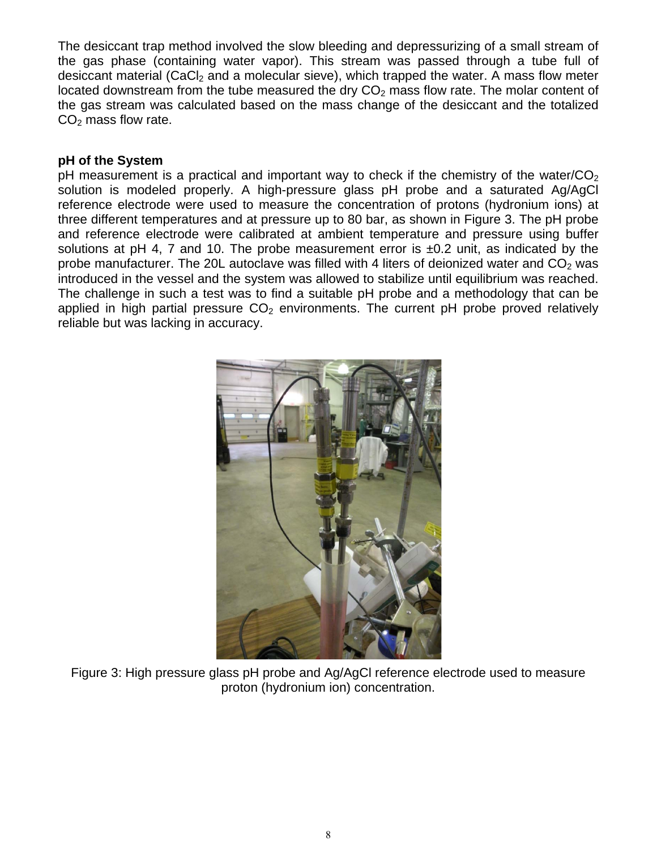The desiccant trap method involved the slow bleeding and depressurizing of a small stream of the gas phase (containing water vapor). This stream was passed through a tube full of desiccant material (CaCl<sub>2</sub> and a molecular sieve), which trapped the water. A mass flow meter located downstream from the tube measured the dry  $CO<sub>2</sub>$  mass flow rate. The molar content of the gas stream was calculated based on the mass change of the desiccant and the totalized  $CO<sub>2</sub>$  mass flow rate.

#### **pH of the System**

pH measurement is a practical and important way to check if the chemistry of the water/ $CO<sub>2</sub>$ solution is modeled properly. A high-pressure glass pH probe and a saturated Ag/AgCl reference electrode were used to measure the concentration of protons (hydronium ions) at three different temperatures and at pressure up to 80 bar, as shown in [Figure 3.](#page-7-0) The pH probe and reference electrode were calibrated at ambient temperature and pressure using buffer solutions at pH 4, 7 and 10. The probe measurement error is  $\pm 0.2$  unit, as indicated by the probe manufacturer. The 20L autoclave was filled with 4 liters of deionized water and  $CO<sub>2</sub>$  was introduced in the vessel and the system was allowed to stabilize until equilibrium was reached. The challenge in such a test was to find a suitable pH probe and a methodology that can be applied in high partial pressure  $CO<sub>2</sub>$  environments. The current pH probe proved relatively reliable but was lacking in accuracy.

<span id="page-7-0"></span>

Figure 3: High pressure glass pH probe and Ag/AgCl reference electrode used to measure proton (hydronium ion) concentration.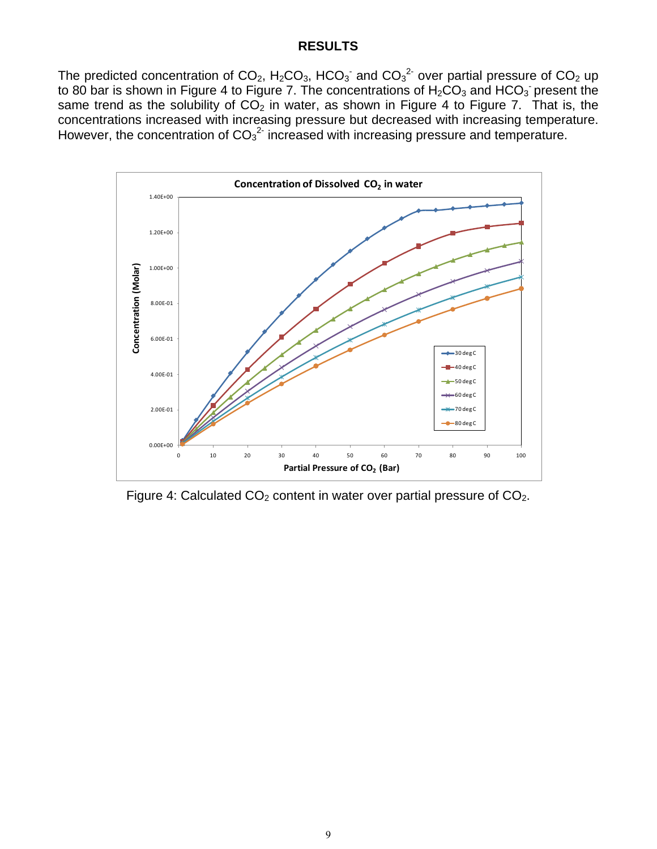#### **RESULTS**

The predicted concentration of CO<sub>2</sub>, H<sub>2</sub>CO<sub>3</sub>, HCO<sub>3</sub><sup>-</sup> and CO<sub>3</sub><sup>2-</sup> over partial pressure of CO<sub>2</sub> up to 80 bar is shown in [Figure 4](#page-8-0) to [Figure 7.](#page-10-0) The concentrations of  $H_2CO_3$  and  $HCO_3$  present the same trend as the solubility of  $CO<sub>2</sub>$  in water, as shown in [Figure 4](#page-8-0) to [Figure 7.](#page-10-0) That is, the concentrations increased with increasing pressure but decreased with increasing temperature. However, the concentration of  $CO<sub>3</sub><sup>2</sup>$  increased with increasing pressure and temperature.



<span id="page-8-0"></span>Figure 4: Calculated  $CO<sub>2</sub>$  content in water over partial pressure of  $CO<sub>2</sub>$ .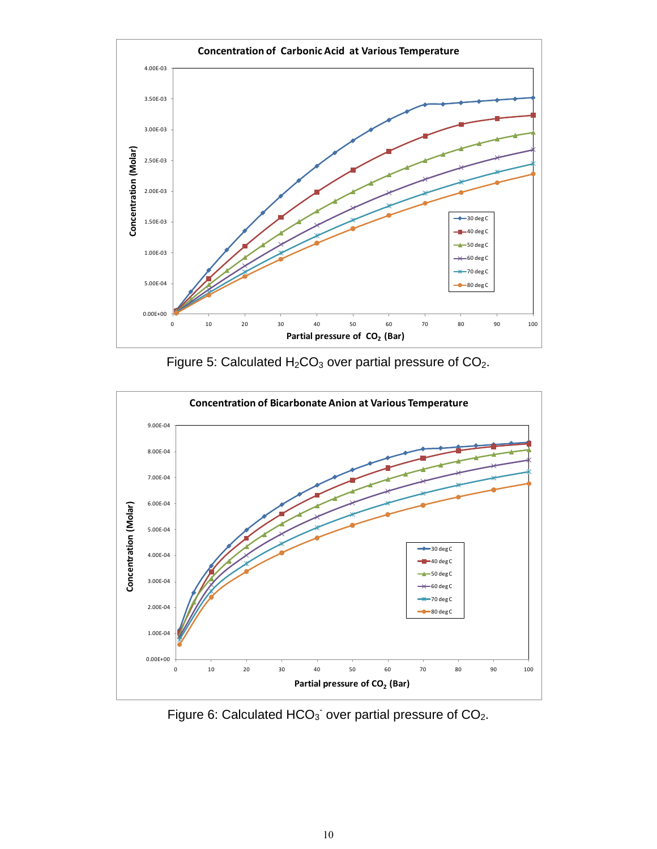

Figure 5: Calculated  $H_2CO_3$  over partial pressure of  $CO_2$ .



Figure 6: Calculated  $HCO<sub>3</sub>$  over partial pressure of  $CO<sub>2</sub>$ .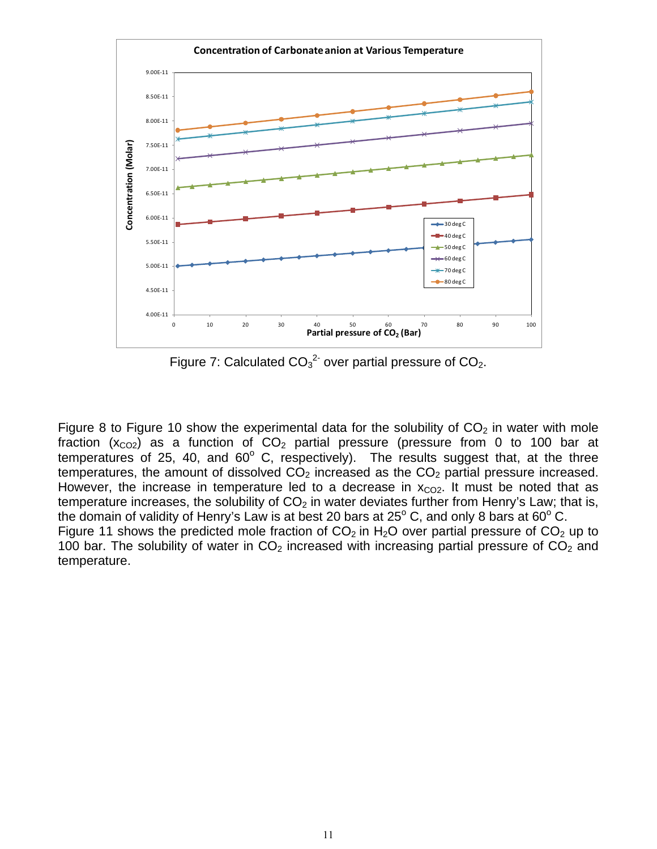

Figure 7: Calculated  $CO_3^2$  over partial pressure of  $CO_2$ .

<span id="page-10-0"></span>[Figure 8](#page-11-0) to [Figure 10](#page-12-0) show the experimental data for the solubility of  $CO<sub>2</sub>$  in water with mole fraction ( $x_{CO2}$ ) as a function of  $CO<sub>2</sub>$  partial pressure (pressure from 0 to 100 bar at temperatures of 25, 40, and  $60^{\circ}$  C, respectively). The results suggest that, at the three temperatures, the amount of dissolved  $CO<sub>2</sub>$  increased as the  $CO<sub>2</sub>$  partial pressure increased. However, the increase in temperature led to a decrease in  $x_{CO2}$ . It must be noted that as temperature increases, the solubility of  $CO<sub>2</sub>$  in water deviates further from Henry's Law; that is, the domain of validity of Henry's Law is at best 20 bars at  $25^{\circ}$  C, and only 8 bars at 60 $^{\circ}$  C. [Figure 11](#page-12-1) shows the predicted mole fraction of  $CO<sub>2</sub>$  in H<sub>2</sub>O over partial pressure of  $CO<sub>2</sub>$  up to 100 bar. The solubility of water in  $CO<sub>2</sub>$  increased with increasing partial pressure of  $CO<sub>2</sub>$  and temperature.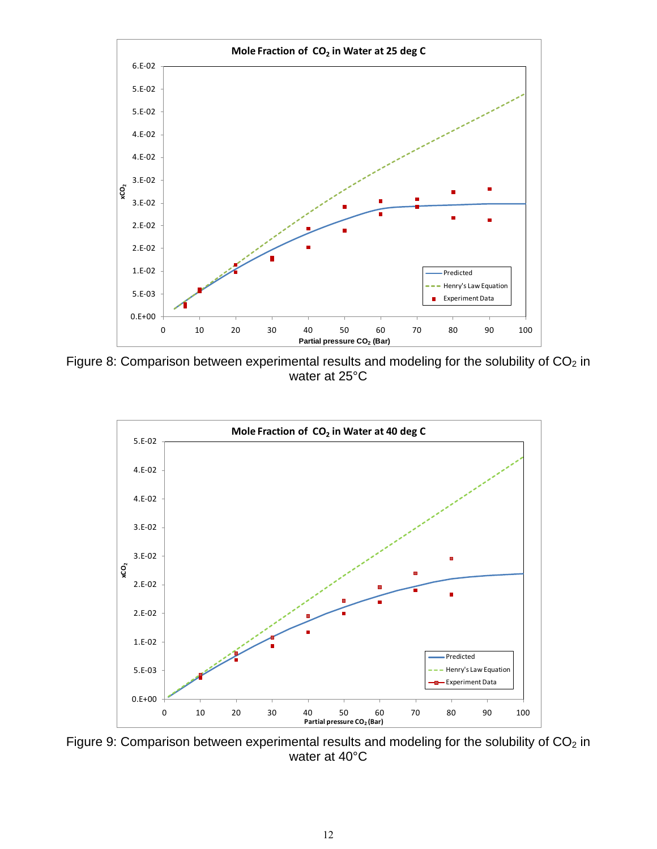

<span id="page-11-0"></span>Figure 8: Comparison between experimental results and modeling for the solubility of  $CO<sub>2</sub>$  in water at 25°C



Figure 9: Comparison between experimental results and modeling for the solubility of  $CO<sub>2</sub>$  in water at 40°C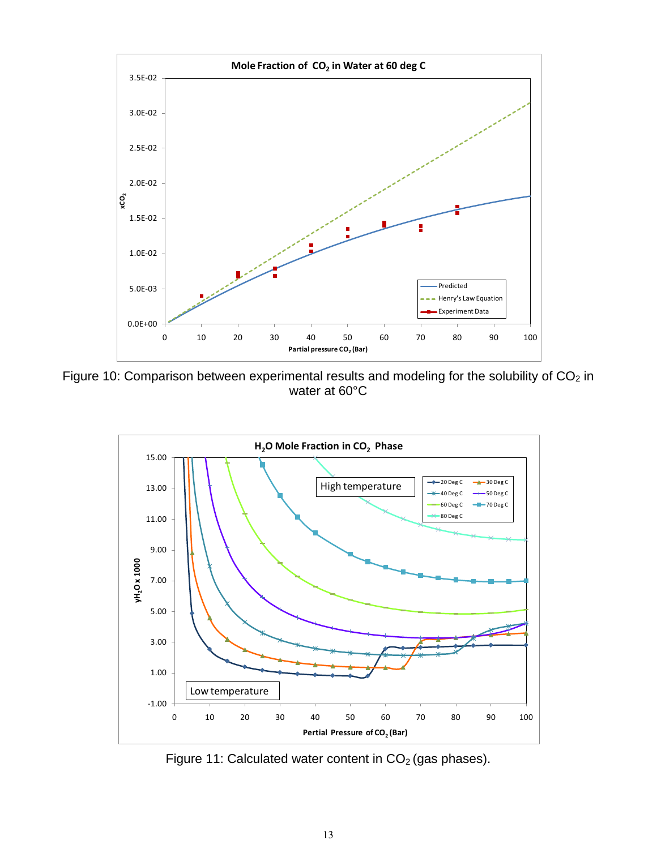

<span id="page-12-0"></span>Figure 10: Comparison between experimental results and modeling for the solubility of  $CO<sub>2</sub>$  in water at 60°C



<span id="page-12-1"></span>Figure 11: Calculated water content in  $CO<sub>2</sub>$  (gas phases).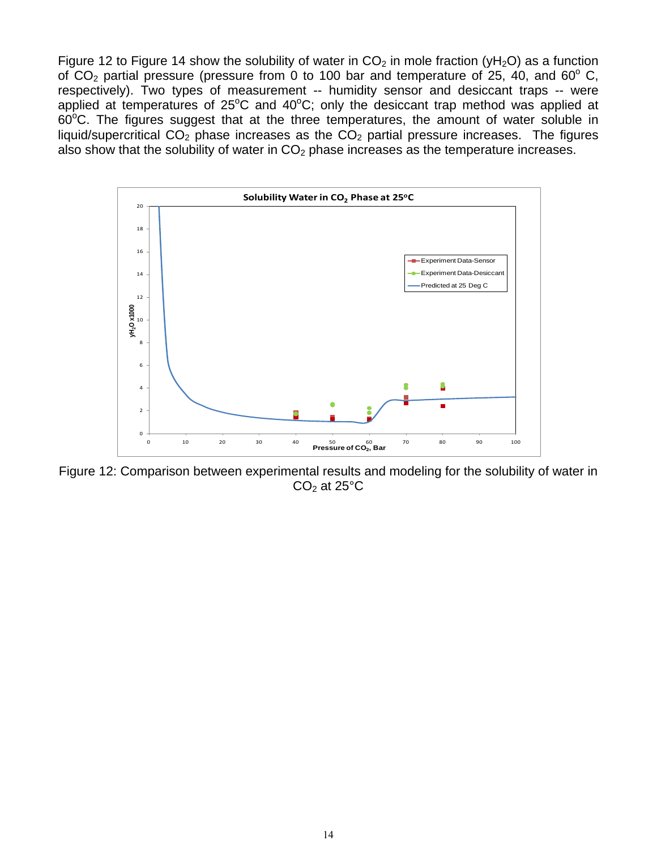[Figure 12](#page-13-0) to [Figure 14](#page-14-0) show the solubility of water in  $CO<sub>2</sub>$  in mole fraction (yH<sub>2</sub>O) as a function of  $CO<sub>2</sub>$  partial pressure (pressure from 0 to 100 bar and temperature of 25, 40, and 60 $^{\circ}$  C, respectively). Two types of measurement -- humidity sensor and desiccant traps -- were applied at temperatures of  $25^{\circ}$ C and  $40^{\circ}$ C; only the desiccant trap method was applied at  $60^{\circ}$ C. The figures suggest that at the three temperatures, the amount of water soluble in liquid/supercritical  $CO<sub>2</sub>$  phase increases as the  $CO<sub>2</sub>$  partial pressure increases. The figures also show that the solubility of water in  $CO<sub>2</sub>$  phase increases as the temperature increases.



<span id="page-13-0"></span>Figure 12: Comparison between experimental results and modeling for the solubility of water in  $CO<sub>2</sub>$  at 25 $°C$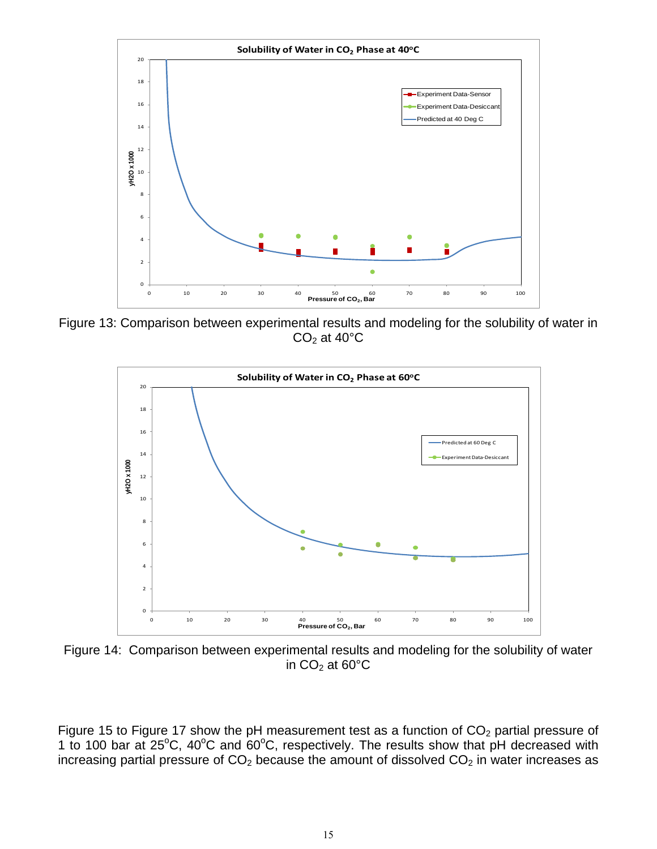

Figure 13: Comparison between experimental results and modeling for the solubility of water in  $CO<sub>2</sub>$  at 40 $°C$ 



<span id="page-14-0"></span>Figure 14: Comparison between experimental results and modeling for the solubility of water in  $CO<sub>2</sub>$  at 60 $°C$ 

[Figure 15](#page-15-0) to [Figure 17](#page-16-0) show the pH measurement test as a function of  $CO<sub>2</sub>$  partial pressure of 1 to 100 bar at  $25^{\circ}$ C, 40 $^{\circ}$ C and 60 $^{\circ}$ C, respectively. The results show that pH decreased with increasing partial pressure of  $CO<sub>2</sub>$  because the amount of dissolved  $CO<sub>2</sub>$  in water increases as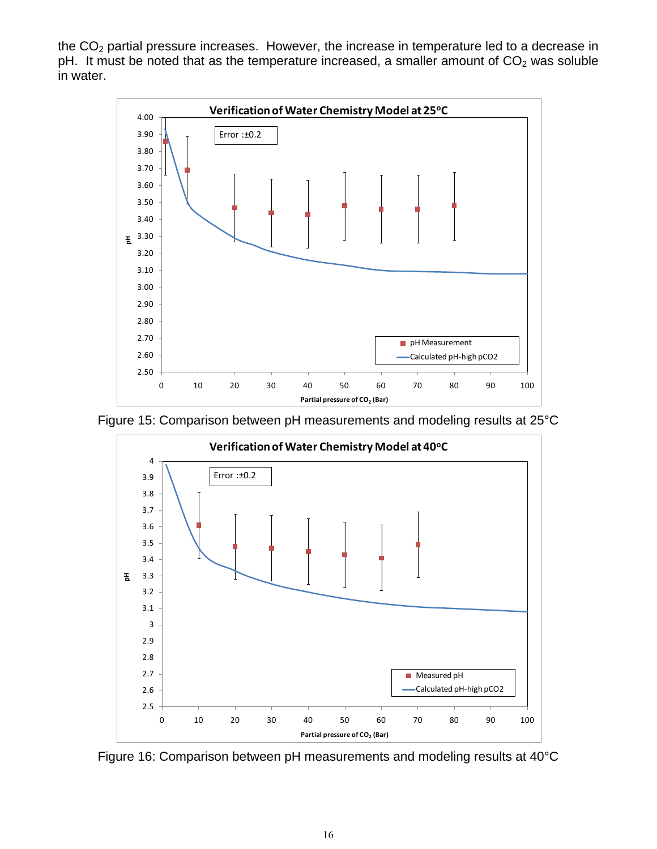the  $CO<sub>2</sub>$  partial pressure increases. However, the increase in temperature led to a decrease in pH. It must be noted that as the temperature increased, a smaller amount of  $CO<sub>2</sub>$  was soluble in water.



<span id="page-15-0"></span>



Figure 16: Comparison between pH measurements and modeling results at 40°C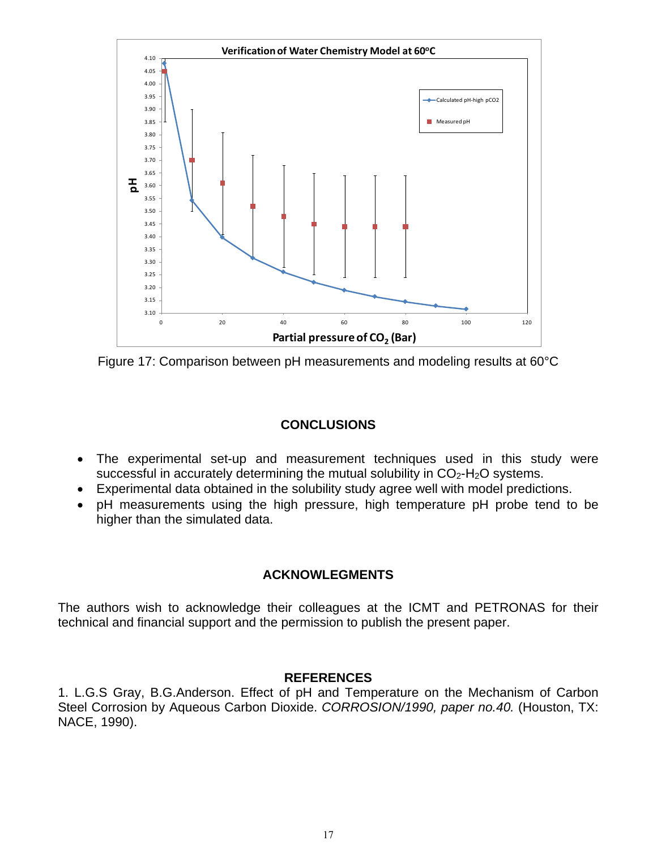

<span id="page-16-0"></span>Figure 17: Comparison between pH measurements and modeling results at 60°C

## **CONCLUSIONS**

- The experimental set-up and measurement techniques used in this study were successful in accurately determining the mutual solubility in  $CO<sub>2</sub>$ -H<sub>2</sub>O systems.
- Experimental data obtained in the solubility study agree well with model predictions.
- pH measurements using the high pressure, high temperature pH probe tend to be higher than the simulated data.

## **ACKNOWLEGMENTS**

The authors wish to acknowledge their colleagues at the ICMT and PETRONAS for their technical and financial support and the permission to publish the present paper.

#### **REFERENCES**

1. L.G.S Gray, B.G.Anderson. Effect of pH and Temperature on the Mechanism of Carbon Steel Corrosion by Aqueous Carbon Dioxide. *CORROSION/1990, paper no.40.* (Houston, TX: NACE, 1990).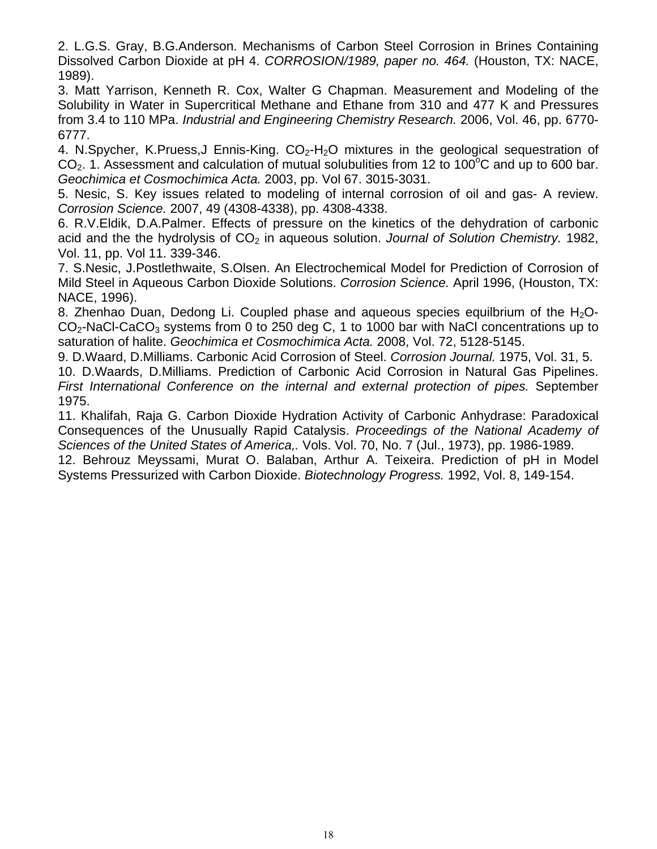2. L.G.S. Gray, B.G.Anderson. Mechanisms of Carbon Steel Corrosion in Brines Containing Dissolved Carbon Dioxide at pH 4. *CORROSION/1989, paper no. 464.* (Houston, TX: NACE, 1989).

3. Matt Yarrison, Kenneth R. Cox, Walter G Chapman. Measurement and Modeling of the Solubility in Water in Supercritical Methane and Ethane from 310 and 477 K and Pressures from 3.4 to 110 MPa. *Industrial and Engineering Chemistry Research.* 2006, Vol. 46, pp. 6770- 6777.

4. N.Spycher, K.Pruess, J Ennis-King.  $CO<sub>2</sub>$ -H<sub>2</sub>O mixtures in the geological sequestration of  $CO<sub>2</sub>$ . 1. Assessment and calculation of mutual solubulities from 12 to 100 $^{\circ}$ C and up to 600 bar. *Geochimica et Cosmochimica Acta.* 2003, pp. Vol 67. 3015-3031.

5. Nesic, S. Key issues related to modeling of internal corrosion of oil and gas- A review. *Corrosion Science.* 2007, 49 (4308-4338), pp. 4308-4338.

6. R.V.Eldik, D.A.Palmer. Effects of pressure on the kinetics of the dehydration of carbonic acid and the the hydrolysis of CO<sub>2</sub> in aqueous solution. *Journal of Solution Chemistry*. 1982, Vol. 11, pp. Vol 11. 339-346.

7. S.Nesic, J.Postlethwaite, S.Olsen. An Electrochemical Model for Prediction of Corrosion of Mild Steel in Aqueous Carbon Dioxide Solutions. *Corrosion Science.* April 1996, (Houston, TX: NACE, 1996).

8. Zhenhao Duan, Dedong Li. Coupled phase and aqueous species equilbrium of the  $H_2O$ - $CO<sub>2</sub>$ -NaCl-CaCO<sub>3</sub> systems from 0 to 250 deg C, 1 to 1000 bar with NaCl concentrations up to saturation of halite. *Geochimica et Cosmochimica Acta.* 2008, Vol. 72, 5128-5145.

9. D.Waard, D.Milliams. Carbonic Acid Corrosion of Steel. *Corrosion Journal.* 1975, Vol. 31, 5. 10. D.Waards, D.Milliams. Prediction of Carbonic Acid Corrosion in Natural Gas Pipelines. *First International Conference on the internal and external protection of pipes.* September 1975.

11. Khalifah, Raja G. Carbon Dioxide Hydration Activity of Carbonic Anhydrase: Paradoxical Consequences of the Unusually Rapid Catalysis. *Proceedings of the National Academy of Sciences of the United States of America,.* Vols. Vol. 70, No. 7 (Jul., 1973), pp. 1986-1989.

12. Behrouz Meyssami, Murat O. Balaban, Arthur A. Teixeira. Prediction of pH in Model Systems Pressurized with Carbon Dioxide. *Biotechnology Progress.* 1992, Vol. 8, 149-154.